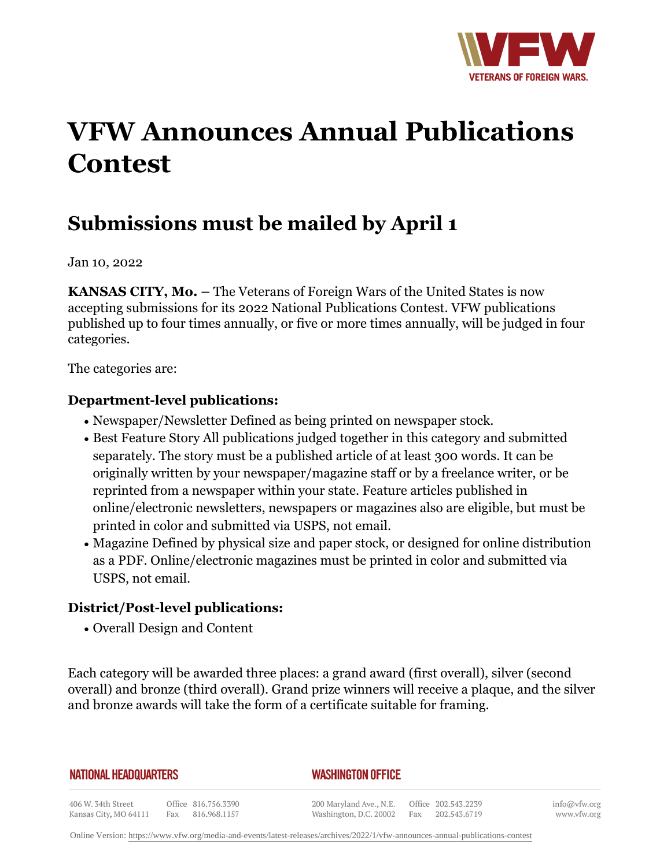

# **VFW Announces Annual Publications Contest**

## **Submissions must be mailed by April 1**

Jan 10, 2022

**KANSAS CITY, Mo. –** The Veterans of Foreign Wars of the United States is now accepting submissions for its 2022 National Publications Contest. VFW publications published up to four times annually, or five or more times annually, will be judged in four categories.

The categories are:

#### **Department-level publications:**

- Newspaper/Newsletter Defined as being printed on newspaper stock.
- Best Feature Story All publications judged together in this category and submitted separately. The story must be a published article of at least 300 words. It can be originally written by your newspaper/magazine staff or by a freelance writer, or be reprinted from a newspaper within your state. Feature articles published in online/electronic newsletters, newspapers or magazines also are eligible, but must be printed in color and submitted via USPS, not email.
- Magazine Defined by physical size and paper stock, or designed for online distribution as a PDF. Online/electronic magazines must be printed in color and submitted via USPS, not email.

### **District/Post-level publications:**

• Overall Design and Content

Each category will be awarded three places: a grand award (first overall), silver (second overall) and bronze (third overall). Grand prize winners will receive a plaque, and the silver and bronze awards will take the form of a certificate suitable for framing.

**NATIONAL HEADQUARTERS** 

#### *WASHINGTON OFFICE*

406 W. 34th Street Office 816.756.3390 Fax 816.968.1157 Kansas City, MO 64111

200 Maryland Ave., N.E. Washington, D.C. 20002

Office 202.543.2239 Fax 202.543.6719

info@vfw.org www.vfw.org

Online Version:<https://www.vfw.org/media-and-events/latest-releases/archives/2022/1/vfw-announces-annual-publications-contest>